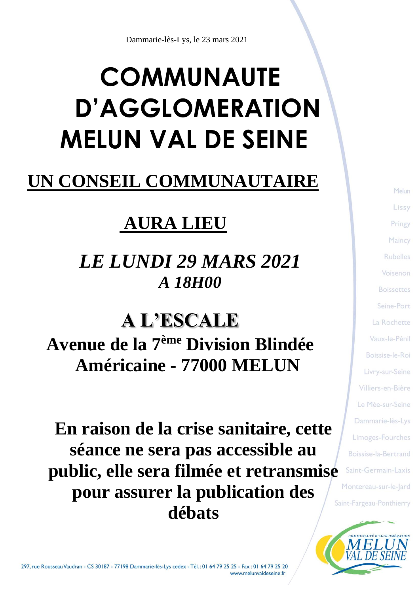# **COMMUNAUTE D'AGGLOMERATION MELUN VAL DE SEINE**

### **UN CONSEIL COMMUNAUTAIRE**

# **AURA LIEU**

# *LE LUNDI 29 MARS 2021 A 18H00*

**A L'ESCALE Avenue de la 7ème Division Blindée Américaine - 77000 MELUN**

**En raison de la crise sanitaire, cette séance ne sera pas accessible au public, elle sera filmée et retransmise pour assurer la publication des débats**

Melun Lissy Pringy Maincy **Rubelles** Voisenon **Boissettes** Seine-Port La Rochette Vaux-le-Pénil Boissise-le-Roi Livry-sur-Seine Villiers-en-Bière Le Mée-sur-Seine Dammarie-lès-Lys Limoges-Fourches Boissise-la-Bertrand Saint-Germain-Laxis Montereau-sur-le-Jard Saint-Fargeau-Ponthierry

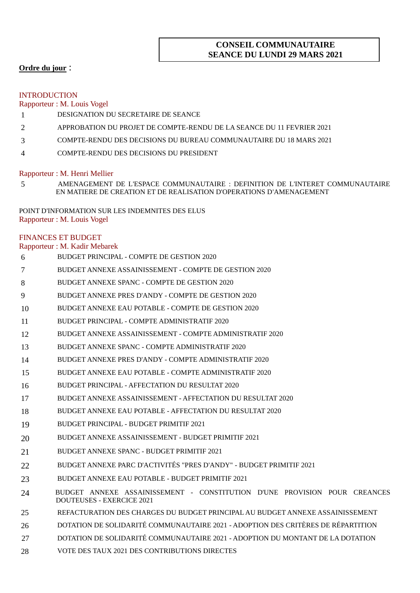### **CONSEIL COMMUNAUTAIRE SEANCE DU LUNDI 29 MARS 2021**

### **Ordre du jour** :

#### INTRODUCTION

Rapporteur : M. Louis Vogel

- DESIGNATION DU SECRETAIRE DE SEANCE
- APPROBATION DU PROJET DE COMPTE-RENDU DE LA SEANCE DU 11 FEVRIER 2021
- COMPTE-RENDU DES DECISIONS DU BUREAU COMMUNAUTAIRE DU 18 MARS 2021
- COMPTE-RENDU DES DECISIONS DU PRESIDENT

#### Rapporteur : M. Henri Mellier

 AMENAGEMENT DE L'ESPACE COMMUNAUTAIRE : DEFINITION DE L'INTERET COMMUNAUTAIRE EN MATIERE DE CREATION ET DE REALISATION D'OPERATIONS D'AMENAGEMENT

POINT D'INFORMATION SUR LES INDEMNITES DES ELUS Rapporteur : M. Louis Vogel

#### FINANCES ET BUDGET

#### Rapporteur : M. Kadir Mebarek

| 6  | BUDGET PRINCIPAL - COMPTE DE GESTION 2020                                                                     |
|----|---------------------------------------------------------------------------------------------------------------|
| 7  | BUDGET ANNEXE ASSAINISSEMENT - COMPTE DE GESTION 2020                                                         |
| 8  | BUDGET ANNEXE SPANC - COMPTE DE GESTION 2020                                                                  |
| 9  | BUDGET ANNEXE PRES D'ANDY - COMPTE DE GESTION 2020                                                            |
| 10 | BUDGET ANNEXE EAU POTABLE - COMPTE DE GESTION 2020                                                            |
| 11 | BUDGET PRINCIPAL - COMPTE ADMINISTRATIF 2020                                                                  |
| 12 | BUDGET ANNEXE ASSAINISSEMENT - COMPTE ADMINISTRATIF 2020                                                      |
| 13 | BUDGET ANNEXE SPANC - COMPTE ADMINISTRATIF 2020                                                               |
| 14 | BUDGET ANNEXE PRES D'ANDY - COMPTE ADMINISTRATIF 2020                                                         |
| 15 | BUDGET ANNEXE EAU POTABLE - COMPTE ADMINISTRATIF 2020                                                         |
| 16 | BUDGET PRINCIPAL - AFFECTATION DU RESULTAT 2020                                                               |
| 17 | BUDGET ANNEXE ASSAINISSEMENT - AFFECTATION DU RESULTAT 2020                                                   |
| 18 | BUDGET ANNEXE EAU POTABLE - AFFECTATION DU RESULTAT 2020                                                      |
| 19 | BUDGET PRINCIPAL - BUDGET PRIMITIF 2021                                                                       |
| 20 | BUDGET ANNEXE ASSAINISSEMENT - BUDGET PRIMITIF 2021                                                           |
| 21 | BUDGET ANNEXE SPANC - BUDGET PRIMITIF 2021                                                                    |
| 22 | BUDGET ANNEXE PARC D'ACTIVITÉS "PRES D'ANDY" - BUDGET PRIMITIF 2021                                           |
| 23 | BUDGET ANNEXE EAU POTABLE - BUDGET PRIMITIF 2021                                                              |
| 24 | BUDGET ANNEXE ASSAINISSEMENT - CONSTITUTION D'UNE PROVISION POUR CREANCES<br><b>DOUTEUSES - EXERCICE 2021</b> |
| 25 | REFACTURATION DES CHARGES DU BUDGET PRINCIPAL AU BUDGET ANNEXE ASSAINISSEMENT                                 |
| 26 | DOTATION DE SOLIDARITÉ COMMUNAUTAIRE 2021 - ADOPTION DES CRITÈRES DE RÉPARTITION                              |
| 27 | DOTATION DE SOLIDARITÉ COMMUNAUTAIRE 2021 - ADOPTION DU MONTANT DE LA DOTATION                                |
|    |                                                                                                               |

VOTE DES TAUX 2021 DES CONTRIBUTIONS DIRECTES